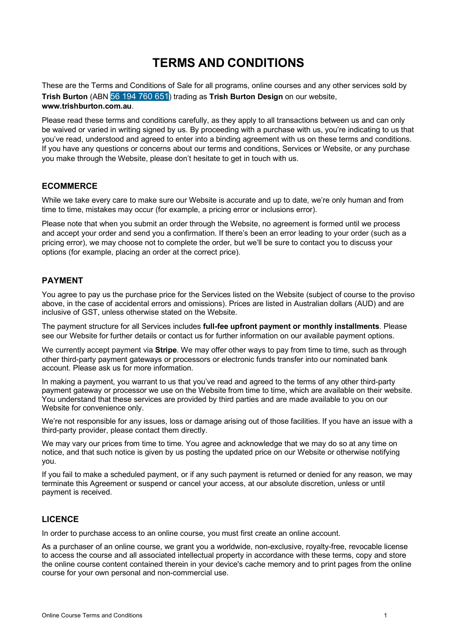# **TERMS AND CONDITIONS**

These are the Terms and Conditions of Sale for all programs, online courses and any other services sold by **Trish Burton** (ABN 56 194 760 651) trading as **Trish Burton Design** on our website, **www.trishburton.com.au**.

Please read these terms and conditions carefully, as they apply to all transactions between us and can only be waived or varied in writing signed by us. By proceeding with a purchase with us, you're indicating to us that you've read, understood and agreed to enter into a binding agreement with us on these terms and conditions. If you have any questions or concerns about our terms and conditions, Services or Website, or any purchase you make through the Website, please don't hesitate to get in touch with us.

# **ECOMMERCE**

While we take every care to make sure our Website is accurate and up to date, we're only human and from time to time, mistakes may occur (for example, a pricing error or inclusions error).

Please note that when you submit an order through the Website, no agreement is formed until we process and accept your order and send you a confirmation. If there's been an error leading to your order (such as a pricing error), we may choose not to complete the order, but we'll be sure to contact you to discuss your options (for example, placing an order at the correct price).

# **PAYMENT**

You agree to pay us the purchase price for the Services listed on the Website (subject of course to the proviso above, in the case of accidental errors and omissions). Prices are listed in Australian dollars (AUD) and are inclusive of GST, unless otherwise stated on the Website.

The payment structure for all Services includes **full-fee upfront payment or monthly installments**. Please see our Website for further details or contact us for further information on our available payment options.

We currently accept payment via **Stripe**. We may offer other ways to pay from time to time, such as through other third-party payment gateways or processors or electronic funds transfer into our nominated bank account. Please ask us for more information.

In making a payment, you warrant to us that you've read and agreed to the terms of any other third-party payment gateway or processor we use on the Website from time to time, which are available on their website. You understand that these services are provided by third parties and are made available to you on our Website for convenience only.

We're not responsible for any issues, loss or damage arising out of those facilities. If you have an issue with a third-party provider, please contact them directly.

We may vary our prices from time to time. You agree and acknowledge that we may do so at any time on notice, and that such notice is given by us posting the updated price on our Website or otherwise notifying you.

If you fail to make a scheduled payment, or if any such payment is returned or denied for any reason, we may terminate this Agreement or suspend or cancel your access, at our absolute discretion, unless or until payment is received.

## **LICENCE**

In order to purchase access to an online course, you must first create an online account.

As a purchaser of an online course, we grant you a worldwide, non-exclusive, royalty-free, revocable license to access the course and all associated intellectual property in accordance with these terms, copy and store the online course content contained therein in your device's cache memory and to print pages from the online course for your own personal and non-commercial use.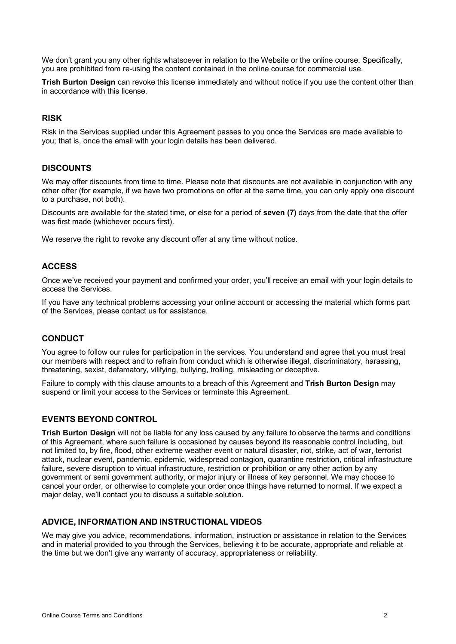We don't grant you any other rights whatsoever in relation to the Website or the online course. Specifically, you are prohibited from re-using the content contained in the online course for commercial use.

**Trish Burton Design** can revoke this license immediately and without notice if you use the content other than in accordance with this license.

# **RISK**

Risk in the Services supplied under this Agreement passes to you once the Services are made available to you; that is, once the email with your login details has been delivered.

## **DISCOUNTS**

We may offer discounts from time to time. Please note that discounts are not available in conjunction with any other offer (for example, if we have two promotions on offer at the same time, you can only apply one discount to a purchase, not both).

Discounts are available for the stated time, or else for a period of **seven (7)** days from the date that the offer was first made (whichever occurs first).

We reserve the right to revoke any discount offer at any time without notice.

# **ACCESS**

Once we've received your payment and confirmed your order, you'll receive an email with your login details to access the Services.

If you have any technical problems accessing your online account or accessing the material which forms part of the Services, please contact us for assistance.

#### **CONDUCT**

You agree to follow our rules for participation in the services. You understand and agree that you must treat our members with respect and to refrain from conduct which is otherwise illegal, discriminatory, harassing, threatening, sexist, defamatory, vilifying, bullying, trolling, misleading or deceptive.

Failure to comply with this clause amounts to a breach of this Agreement and **Trish Burton Design** may suspend or limit your access to the Services or terminate this Agreement.

## **EVENTS BEYOND CONTROL**

**Trish Burton Design** will not be liable for any loss caused by any failure to observe the terms and conditions of this Agreement, where such failure is occasioned by causes beyond its reasonable control including, but not limited to, by fire, flood, other extreme weather event or natural disaster, riot, strike, act of war, terrorist attack, nuclear event, pandemic, epidemic, widespread contagion, quarantine restriction, critical infrastructure failure, severe disruption to virtual infrastructure, restriction or prohibition or any other action by any government or semi government authority, or major injury or illness of key personnel. We may choose to cancel your order, or otherwise to complete your order once things have returned to normal. If we expect a major delay, we'll contact you to discuss a suitable solution.

## **ADVICE, INFORMATION AND INSTRUCTIONAL VIDEOS**

We may give you advice, recommendations, information, instruction or assistance in relation to the Services and in material provided to you through the Services, believing it to be accurate, appropriate and reliable at the time but we don't give any warranty of accuracy, appropriateness or reliability.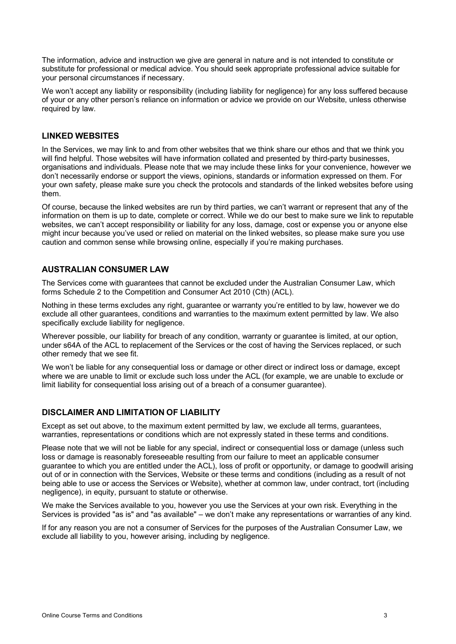The information, advice and instruction we give are general in nature and is not intended to constitute or substitute for professional or medical advice. You should seek appropriate professional advice suitable for your personal circumstances if necessary.

We won't accept any liability or responsibility (including liability for negligence) for any loss suffered because of your or any other person's reliance on information or advice we provide on our Website, unless otherwise required by law.

# **LINKED WEBSITES**

In the Services, we may link to and from other websites that we think share our ethos and that we think you will find helpful. Those websites will have information collated and presented by third-party businesses, organisations and individuals. Please note that we may include these links for your convenience, however we don't necessarily endorse or support the views, opinions, standards or information expressed on them. For your own safety, please make sure you check the protocols and standards of the linked websites before using them.

Of course, because the linked websites are run by third parties, we can't warrant or represent that any of the information on them is up to date, complete or correct. While we do our best to make sure we link to reputable websites, we can't accept responsibility or liability for any loss, damage, cost or expense you or anyone else might incur because you've used or relied on material on the linked websites, so please make sure you use caution and common sense while browsing online, especially if you're making purchases.

# **AUSTRALIAN CONSUMER LAW**

The Services come with guarantees that cannot be excluded under the Australian Consumer Law, which forms Schedule 2 to the Competition and Consumer Act 2010 (Cth) (ACL).

Nothing in these terms excludes any right, guarantee or warranty you're entitled to by law, however we do exclude all other guarantees, conditions and warranties to the maximum extent permitted by law. We also specifically exclude liability for negligence.

Wherever possible, our liability for breach of any condition, warranty or guarantee is limited, at our option, under s64A of the ACL to replacement of the Services or the cost of having the Services replaced, or such other remedy that we see fit.

We won't be liable for any consequential loss or damage or other direct or indirect loss or damage, except where we are unable to limit or exclude such loss under the ACL (for example, we are unable to exclude or limit liability for consequential loss arising out of a breach of a consumer guarantee).

# **DISCLAIMER AND LIMITATION OF LIABILITY**

Except as set out above, to the maximum extent permitted by law, we exclude all terms, guarantees, warranties, representations or conditions which are not expressly stated in these terms and conditions.

Please note that we will not be liable for any special, indirect or consequential loss or damage (unless such loss or damage is reasonably foreseeable resulting from our failure to meet an applicable consumer guarantee to which you are entitled under the ACL), loss of profit or opportunity, or damage to goodwill arising out of or in connection with the Services, Website or these terms and conditions (including as a result of not being able to use or access the Services or Website), whether at common law, under contract, tort (including negligence), in equity, pursuant to statute or otherwise.

We make the Services available to you, however you use the Services at your own risk. Everything in the Services is provided "as is" and "as available" – we don't make any representations or warranties of any kind.

If for any reason you are not a consumer of Services for the purposes of the Australian Consumer Law, we exclude all liability to you, however arising, including by negligence.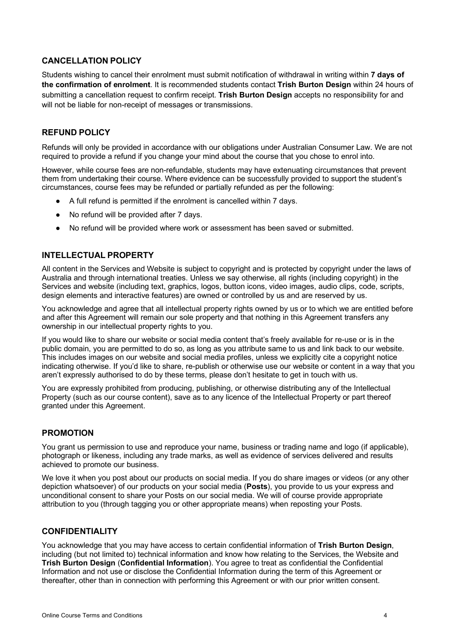# **CANCELLATION POLICY**

Students wishing to cancel their enrolment must submit notification of withdrawal in writing within **7 days of the confirmation of enrolment**. It is recommended students contact **Trish Burton Design** within 24 hours of submitting a cancellation request to confirm receipt. **Trish Burton Design** accepts no responsibility for and will not be liable for non-receipt of messages or transmissions.

# **REFUND POLICY**

Refunds will only be provided in accordance with our obligations under Australian Consumer Law. We are not required to provide a refund if you change your mind about the course that you chose to enrol into.

However, while course fees are non-refundable, students may have extenuating circumstances that prevent them from undertaking their course. Where evidence can be successfully provided to support the student's circumstances, course fees may be refunded or partially refunded as per the following:

- A full refund is permitted if the enrolment is cancelled within 7 days.
- No refund will be provided after 7 days.
- No refund will be provided where work or assessment has been saved or submitted.

# **INTELLECTUAL PROPERTY**

All content in the Services and Website is subject to copyright and is protected by copyright under the laws of Australia and through international treaties. Unless we say otherwise, all rights (including copyright) in the Services and website (including text, graphics, logos, button icons, video images, audio clips, code, scripts, design elements and interactive features) are owned or controlled by us and are reserved by us.

You acknowledge and agree that all intellectual property rights owned by us or to which we are entitled before and after this Agreement will remain our sole property and that nothing in this Agreement transfers any ownership in our intellectual property rights to you.

If you would like to share our website or social media content that's freely available for re-use or is in the public domain, you are permitted to do so, as long as you attribute same to us and link back to our website. This includes images on our website and social media profiles, unless we explicitly cite a copyright notice indicating otherwise. If you'd like to share, re-publish or otherwise use our website or content in a way that you aren't expressly authorised to do by these terms, please don't hesitate to get in touch with us.

You are expressly prohibited from producing, publishing, or otherwise distributing any of the Intellectual Property (such as our course content), save as to any licence of the Intellectual Property or part thereof granted under this Agreement.

## **PROMOTION**

You grant us permission to use and reproduce your name, business or trading name and logo (if applicable), photograph or likeness, including any trade marks, as well as evidence of services delivered and results achieved to promote our business.

We love it when you post about our products on social media. If you do share images or videos (or any other depiction whatsoever) of our products on your social media (**Posts**), you provide to us your express and unconditional consent to share your Posts on our social media. We will of course provide appropriate attribution to you (through tagging you or other appropriate means) when reposting your Posts.

# **CONFIDENTIALITY**

You acknowledge that you may have access to certain confidential information of **Trish Burton Design**, including (but not limited to) technical information and know how relating to the Services, the Website and **Trish Burton Design** (**Confidential Information**). You agree to treat as confidential the Confidential Information and not use or disclose the Confidential Information during the term of this Agreement or thereafter, other than in connection with performing this Agreement or with our prior written consent.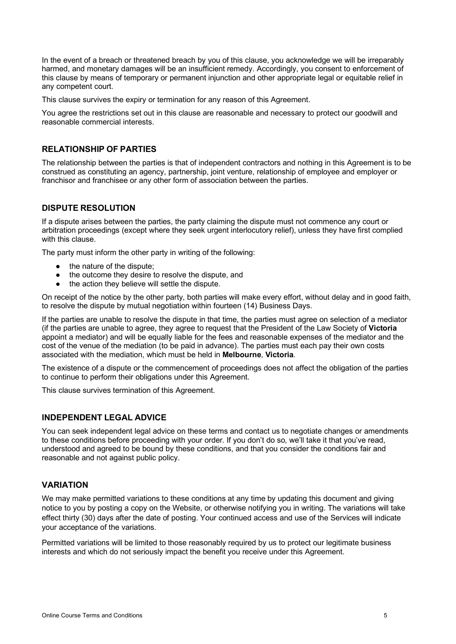In the event of a breach or threatened breach by you of this clause, you acknowledge we will be irreparably harmed, and monetary damages will be an insufficient remedy. Accordingly, you consent to enforcement of this clause by means of temporary or permanent injunction and other appropriate legal or equitable relief in any competent court.

This clause survives the expiry or termination for any reason of this Agreement.

You agree the restrictions set out in this clause are reasonable and necessary to protect our goodwill and reasonable commercial interests.

# **RELATIONSHIP OF PARTIES**

The relationship between the parties is that of independent contractors and nothing in this Agreement is to be construed as constituting an agency, partnership, joint venture, relationship of employee and employer or franchisor and franchisee or any other form of association between the parties.

# **DISPUTE RESOLUTION**

If a dispute arises between the parties, the party claiming the dispute must not commence any court or arbitration proceedings (except where they seek urgent interlocutory relief), unless they have first complied with this clause.

The party must inform the other party in writing of the following:

- the nature of the dispute:
- the outcome they desire to resolve the dispute, and
- the action they believe will settle the dispute.

On receipt of the notice by the other party, both parties will make every effort, without delay and in good faith, to resolve the dispute by mutual negotiation within fourteen (14) Business Days.

If the parties are unable to resolve the dispute in that time, the parties must agree on selection of a mediator (if the parties are unable to agree, they agree to request that the President of the Law Society of **Victoria** appoint a mediator) and will be equally liable for the fees and reasonable expenses of the mediator and the cost of the venue of the mediation (to be paid in advance). The parties must each pay their own costs associated with the mediation, which must be held in **Melbourne**, **Victoria**.

The existence of a dispute or the commencement of proceedings does not affect the obligation of the parties to continue to perform their obligations under this Agreement.

This clause survives termination of this Agreement.

# **INDEPENDENT LEGAL ADVICE**

You can seek independent legal advice on these terms and contact us to negotiate changes or amendments to these conditions before proceeding with your order. If you don't do so, we'll take it that you've read, understood and agreed to be bound by these conditions, and that you consider the conditions fair and reasonable and not against public policy.

## **VARIATION**

We may make permitted variations to these conditions at any time by updating this document and giving notice to you by posting a copy on the Website, or otherwise notifying you in writing. The variations will take effect thirty (30) days after the date of posting. Your continued access and use of the Services will indicate your acceptance of the variations.

Permitted variations will be limited to those reasonably required by us to protect our legitimate business interests and which do not seriously impact the benefit you receive under this Agreement.